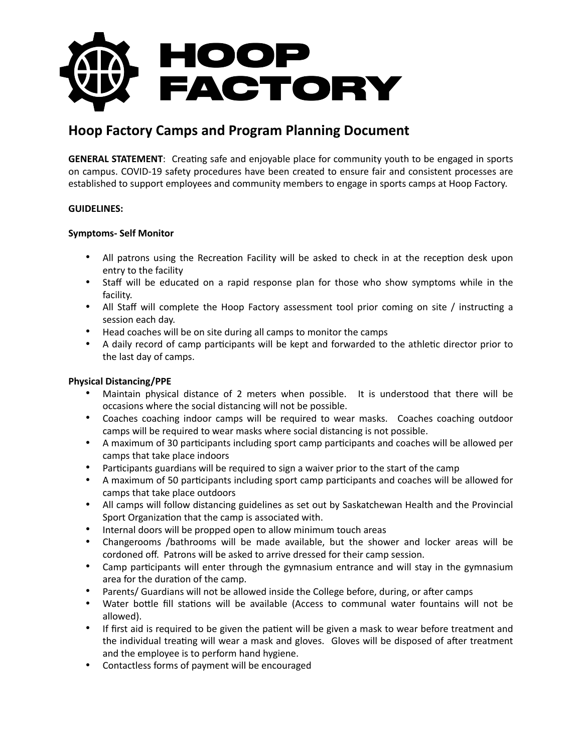

# **Hoop Factory Camps and Program Planning Document**

**GENERAL STATEMENT:** Creating safe and enjoyable place for community youth to be engaged in sports on campus. COVID-19 safety procedures have been created to ensure fair and consistent processes are established to support employees and community members to engage in sports camps at Hoop Factory.

## **GUIDELINES:**

## **Symptoms- Self Monitor**

- All patrons using the Recreation Facility will be asked to check in at the reception desk upon entry to the facility
- Staff will be educated on a rapid response plan for those who show symptoms while in the facility.
- All Staff will complete the Hoop Factory assessment tool prior coming on site / instructing a session each day.
- Head coaches will be on site during all camps to monitor the camps
- A daily record of camp participants will be kept and forwarded to the athletic director prior to the last day of camps.

## **Physical Distancing/PPE**

- Maintain physical distance of 2 meters when possible. It is understood that there will be occasions where the social distancing will not be possible.
- Coaches coaching indoor camps will be required to wear masks. Coaches coaching outdoor camps will be required to wear masks where social distancing is not possible.
- A maximum of 30 participants including sport camp participants and coaches will be allowed per camps that take place indoors
- Participants guardians will be required to sign a waiver prior to the start of the camp
- A maximum of 50 participants including sport camp participants and coaches will be allowed for camps that take place outdoors
- All camps will follow distancing guidelines as set out by Saskatchewan Health and the Provincial Sport Organization that the camp is associated with.
- Internal doors will be propped open to allow minimum touch areas
- Changerooms /bathrooms will be made available, but the shower and locker areas will be cordoned off. Patrons will be asked to arrive dressed for their camp session.
- Camp participants will enter through the gymnasium entrance and will stay in the gymnasium area for the duration of the camp.
- Parents/ Guardians will not be allowed inside the College before, during, or after camps
- Water bottle fill stations will be available (Access to communal water fountains will not be allowed).
- If first aid is required to be given the patient will be given a mask to wear before treatment and the individual treating will wear a mask and gloves. Gloves will be disposed of after treatment and the employee is to perform hand hygiene.
- Contactless forms of payment will be encouraged